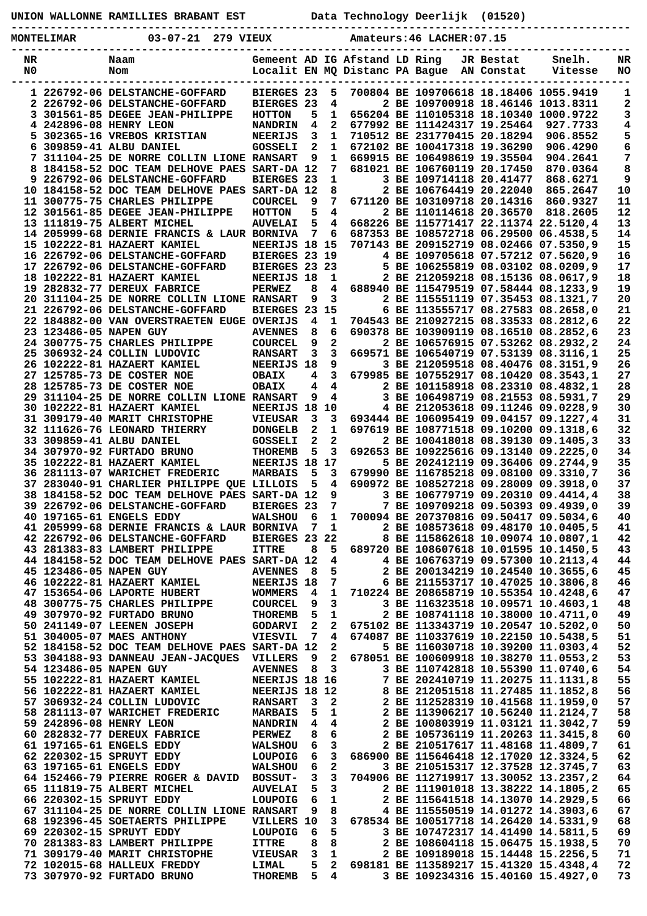| UNION WALLONNE RAMILLIES BRABANT EST |  |  |  |
|--------------------------------------|--|--|--|
|--------------------------------------|--|--|--|

**UNION WALLONNE RAMILLIES BRABANT EST Data Technology Deerlijk (01520)**

| MONTELIMAR | 03-07-21 279 VIEUX | Amateurs: 46 LACHER: 07.15 |
|------------|--------------------|----------------------------|
|            |                    |                            |

**-----------------------------------------------------------------------------------------------**

| NR |                        | Naam                                          | Gemeent AD IG Afstand LD Ring |                |                         |                                |                                        | JR Bestat  | Snelh.   | NR  |
|----|------------------------|-----------------------------------------------|-------------------------------|----------------|-------------------------|--------------------------------|----------------------------------------|------------|----------|-----|
| N0 |                        | Nom                                           |                               |                |                         | Localit EN MQ Distanc PA Bague |                                        | AN Constat | Vitesse  | NO. |
|    |                        |                                               |                               |                |                         |                                |                                        |            |          |     |
|    |                        | 1 226792-06 DELSTANCHE-GOFFARD                | <b>BIERGES 23</b>             |                | 5                       |                                | 700804 BE 109706618 18.18406 1055.9419 |            |          | 1   |
|    |                        | 2 226792-06 DELSTANCHE-GOFFARD                | <b>BIERGES 23</b>             |                | 4                       |                                | 2 BE 109700918 18.46146 1013.8311      |            |          | 2   |
|    |                        | 3 301561-85 DEGEE JEAN-PHILIPPE               | <b>HOTTON</b>                 | 5              | 1                       |                                | 656204 BE 110105318 18.10340 1000.9722 |            |          | 3   |
|    |                        | 4 242896-08 HENRY LEON                        | <b>NANDRIN</b>                | 4              | $\mathbf{2}$            |                                | 677992 BE 111424317 19.25464           |            | 927.7733 | 4   |
|    |                        | 5 302365-16 VREBOS KRISTIAN                   | <b>NEERIJS</b>                | 3              | 1                       |                                | 710512 BE 231770415 20.18294           |            | 906.8552 | 5   |
| 6. |                        | 309859-41 ALBU DANIEL                         | <b>GOSSELI</b>                | 2              | 1                       |                                | 672102 BE 100417318 19.36290           |            | 906.4290 | 6   |
|    |                        | 7 311104-25 DE NORRE COLLIN LIONE RANSART     |                               | 9              | 1                       |                                | 669915 BE 106498619 19.35504           |            | 904.2641 | 7   |
| 8  |                        | 184158-52 DOC TEAM DELHOVE PAES               | SART-DA 12                    |                | 7                       |                                | 681021 BE 106760119 20.17450           |            | 870.0364 | 8   |
|    |                        | 9 226792-06 DELSTANCHE-GOFFARD                | <b>BIERGES 23</b>             |                | 1                       |                                | 3 BE 109714118 20.41477                |            | 868.6271 | 9   |
|    |                        | 10 184158-52 DOC TEAM DELHOVE PAES SART-DA 12 |                               |                | 8                       |                                | 2 BE 106764419 20.22040                |            | 865.2647 | 10  |
|    |                        | 11 300775-75 CHARLES PHILIPPE                 | <b>COURCEL</b>                | 9              | 7                       |                                | 671120 BE 103109718 20.14316           |            | 860.9327 | 11  |
|    |                        | 12 301561-85 DEGEE JEAN-PHILIPPE              | <b>HOTTON</b>                 | 5              | $\overline{\mathbf{4}}$ |                                | 2 BE 110114618 20.36570                |            | 818.2605 | 12  |
|    |                        | 13 111819-75 ALBERT MICHEL                    | <b>AUVELAI</b>                | 5              | 4                       |                                | 668226 BE 115771417 22.11374 22.5120,4 |            |          | 13  |
|    |                        | 14 205999-68 DERNIE FRANCIS & LAUR BORNIVA    |                               | 7              | 6                       |                                | 687353 BE 108572718 06.29500 06.4538,5 |            |          | 14  |
|    |                        | 15 102222-81 HAZAERT KAMIEL                   | NEERIJS 18 15                 |                |                         |                                | 707143 BE 209152719 08.02466 07.5350,9 |            |          | 15  |
|    |                        | 16 226792-06 DELSTANCHE-GOFFARD               | BIERGES 23 19                 |                |                         |                                | 4 BE 109705618 07.57212 07.5620,9      |            |          | 16  |
|    |                        | 17 226792-06 DELSTANCHE-GOFFARD               | BIERGES 23 23                 |                |                         |                                | 5 BE 106255819 08.03102 08.0209,9      |            |          | 17  |
|    |                        | 18 102222-81 HAZAERT KAMIEL                   | NEERIJS 18                    |                | 1                       |                                | 2 BE 212059218 08.15136 08.0617,9      |            |          | 18  |
|    |                        | 19 282832-77 DEREUX FABRICE                   | <b>PERWEZ</b>                 | 8              | 4                       |                                | 688940 BE 115479519 07.58444 08.1233,9 |            |          | 19  |
|    |                        | 20 311104-25 DE NORRE COLLIN LIONE RANSART    |                               | 9              | 3                       |                                | 2 BE 115551119 07.35453 08.1321,7      |            |          | 20  |
|    |                        | 21 226792-06 DELSTANCHE-GOFFARD               | BIERGES 23 15                 |                |                         |                                | 6 BE 113555717 08.27583 08.2658,0      |            |          | 21  |
|    |                        | 22 184882-00 VAN OVERSTRAETEN EUGE OVERIJS    |                               | 4              | 1                       |                                | 704543 BE 210927215 08.33533 08.2812,6 |            |          | 22  |
|    | 23 123486-05 NAPEN GUY |                                               | <b>AVENNES</b>                | 8              | 6                       |                                | 690378 BE 103909119 08.16510 08.2852,6 |            |          | 23  |
|    |                        | 24 300775-75 CHARLES PHILIPPE                 | <b>COURCEL</b>                | 9              | $\overline{a}$          |                                | 2 BE 106576915 07.53262 08.2932,2      |            |          | 24  |
|    |                        | 25 306932-24 COLLIN LUDOVIC                   | <b>RANSART</b>                | 3              | 3                       |                                | 669571 BE 106540719 07.53139 08.3116,1 |            |          | 25  |
|    |                        | 26 102222-81 HAZAERT KAMIEL                   | NEERIJS 18                    |                | 9                       |                                | 3 BE 212059518 08.40476 08.3151,9      |            |          | 26  |
|    |                        | 27 125785-73 DE COSTER NOE                    | <b>OBAIX</b>                  | 4              | $\mathbf{3}$            |                                | 679985 BE 107552917 08.10420 08.3543,1 |            |          | 27  |
|    |                        | 28 125785-73 DE COSTER NOE                    | <b>OBAIX</b>                  | 4              | 4                       |                                | 2 BE 101158918 08.23310 08.4832,1      |            |          | 28  |
|    |                        | 29 311104-25 DE NORRE COLLIN LIONE RANSART    |                               | 9              | 4                       |                                | 3 BE 106498719 08.21553 08.5931,7      |            |          | 29  |
|    |                        | 30 102222-81 HAZAERT KAMIEL                   | NEERIJS 18 10                 |                |                         |                                | 4 BE 212053618 09.11246 09.0228,9      |            |          | 30  |
|    |                        | 31 309179-40 MARIT CHRISTOPHE                 | <b>VIEUSAR</b>                | 3              | 3                       |                                | 693444 BE 106095419 09.04157 09.1227,4 |            |          | 31  |
|    |                        | 32 111626-76 LEONARD THIERRY                  | <b>DONGELB</b>                | 2              | 1                       |                                | 697619 BE 108771518 09.10200 09.1318,6 |            |          | 32  |
|    |                        | 33 309859-41 ALBU DANIEL                      | <b>GOSSELI</b>                | 2              | 2                       |                                | 2 BE 100418018 08.39130 09.1405,3      |            |          | 33  |
|    |                        | 34 307970-92 FURTADO BRUNO                    | <b>THOREMB</b>                | 5              | 3                       |                                | 692653 BE 109225616 09.13140 09.2225,0 |            |          | 34  |
|    |                        | 35 102222-81 HAZAERT KAMIEL                   | NEERIJS 18 17                 |                |                         |                                | 5 BE 202412119 09.36406 09.2744,9      |            |          | 35  |
|    |                        | 36 281113-07 WARICHET FREDERIC                | <b>MARBAIS</b>                | 5              | 3                       |                                | 679990 BE 116785218 09.08100 09.3310,7 |            |          | 36  |
|    |                        | 37 283040-91 CHARLIER PHILIPPE QUE LILLOIS    |                               | 5              | 4                       |                                | 690972 BE 108527218 09.28009 09.3918,0 |            |          | 37  |
|    |                        | 38 184158-52 DOC TEAM DELHOVE PAES SART-DA 12 |                               |                | 9                       |                                | 3 BE 106779719 09.20310 09.4414,4      |            |          | 38  |
|    |                        | 39 226792-06 DELSTANCHE-GOFFARD               | <b>BIERGES 23</b>             |                | 7                       |                                | 7 BE 109709218 09.50393 09.4939,0      |            |          | 39  |
|    |                        | 40 197165-61 ENGELS EDDY                      | <b>WALSHOU</b>                | - 6            | 1                       |                                | 700094 BE 207370816 09.50417 09.5034,6 |            |          | 40  |
|    |                        | 41 205999-68 DERNIE FRANCIS & LAUR BORNIVA    |                               | 7              | 1                       |                                | 2 BE 108573618 09.48170 10.0405,5      |            |          | 41  |
|    |                        | 42 226792-06 DELSTANCHE-GOFFARD               | BIERGES 23 22                 |                |                         |                                | 8 BE 115862618 10.09074 10.0807,1      |            |          | 42  |
|    |                        | 43 281383-83 LAMBERT PHILIPPE                 | <b>ITTRE</b>                  | 8              | 5                       |                                | 689720 BE 108607618 10.01595 10.1450,5 |            |          | 43  |
|    |                        | 44 184158-52 DOC TEAM DELHOVE PAES SART-DA 12 |                               |                | 4                       |                                | 4 BE 106763719 09.57300 10.2113,4      |            |          | 44  |
|    | 45 123486-05 NAPEN GUY |                                               | <b>AVENNES</b>                | - 8            | 5                       |                                | 2 BE 200134219 10.24540 10.3655,6      |            |          | 45  |
|    |                        | 46 102222-81 HAZAERT KAMIEL                   | NEERIJS 18                    |                | 7                       |                                | 6 BE 211553717 10.47025 10.3806,8      |            |          | 46  |
|    |                        | 47 153654-06 LAPORTE HUBERT                   | <b>WOMMERS</b>                | 4              | 1                       |                                | 710224 BE 208658719 10.55354 10.4248,6 |            |          | 47  |
|    |                        | 48 300775-75 CHARLES PHILIPPE                 | <b>COURCEL</b>                | 9              | 3                       |                                | 3 BE 116323518 10.09571 10.4603,1      |            |          | 48  |
|    |                        | 49 307970-92 FURTADO BRUNO                    | THOREMB                       | 5              | 1                       |                                | 2 BE 108741118 10.38000 10.4711,0      |            |          | 49  |
|    |                        | 50 241149-07 LEENEN JOSEPH                    | <b>GODARVI</b>                | 2              | 2                       |                                | 675102 BE 113343719 10.20547 10.5202,0 |            |          | 50  |
|    |                        | 51 304005-07 MAES ANTHONY                     | VIESVIL                       | $\overline{7}$ | $\overline{4}$          |                                | 674087 BE 110337619 10.22150 10.5438,5 |            |          | 51  |
|    |                        | 52 184158-52 DOC TEAM DELHOVE PAES SART-DA 12 |                               |                | $\mathbf{2}$            |                                | 5 BE 116030718 10.39200 11.0303,4      |            |          | 52  |
|    |                        | 53 304188-93 DANNEAU JEAN-JACQUES             | VILLERS                       | 9              | 2                       |                                | 678051 BE 100609918 10.38270 11.0553,2 |            |          | 53  |
|    | 54 123486-05 NAPEN GUY |                                               | <b>AVENNES</b>                | 8              | $\mathbf{3}$            |                                | 3 BE 110742818 10.55390 11.0740,6      |            |          | 54  |
|    |                        | 55 102222-81 HAZAERT KAMIEL                   | NEERIJS 18 16                 |                |                         |                                | 7 BE 202410719 11.20275 11.1131,8      |            |          | 55  |
|    |                        | 56 102222-81 HAZAERT KAMIEL                   | NEERIJS 18 12                 |                |                         |                                | 8 BE 212051518 11.27485 11.1852,8      |            |          | 56  |
|    |                        | 57 306932-24 COLLIN LUDOVIC                   | <b>RANSART</b>                | 3              | $\mathbf{2}$            |                                | 2 BE 112528319 10.41568 11.1959,0      |            |          | 57  |
|    |                        | 58 281113-07 WARICHET FREDERIC                |                               |                |                         |                                |                                        |            |          | 58  |
|    |                        |                                               | <b>MARBAIS</b>                | 5              | $\mathbf{1}$            |                                | 2 BE 113906217 10.56240 11.2124,7      |            |          |     |
|    |                        | 59 242896-08 HENRY LEON                       | <b>NANDRIN</b>                | 4              | $\overline{4}$          |                                | 2 BE 100803919 11.03121 11.3042,7      |            |          | 59  |
|    |                        | 60 282832-77 DEREUX FABRICE                   | <b>PERWEZ</b>                 | 8              | 6                       |                                | 2 BE 105736119 11.20263 11.3415,8      |            |          | 60  |
|    |                        | 61 197165-61 ENGELS EDDY                      | <b>WALSHOU</b>                | 6              | 3                       |                                | 2 BE 210517617 11.48168 11.4809,7      |            |          | 61  |
|    |                        | 62 220302-15 SPRUYT EDDY                      | LOUPOIG                       | 6              | 3                       |                                | 686900 BE 115646418 12.17020 12.3324,5 |            |          | 62  |
|    |                        | 63 197165-61 ENGELS EDDY                      | <b>WALSHOU</b>                | 6              | $\overline{a}$          |                                | 3 BE 210515317 12.37528 12.3745,7      |            |          | 63  |
|    |                        | 64 152466-79 PIERRE ROGER & DAVID             | <b>BOSSUT-</b>                | 3              | 3                       |                                | 704906 BE 112719917 13.30052 13.2357,2 |            |          | 64  |
|    |                        | 65 111819-75 ALBERT MICHEL                    | <b>AUVELAI</b>                | 5              | 3                       |                                | 2 BE 111901018 13.38222 14.1805,2      |            |          | 65  |
|    |                        | 66 220302-15 SPRUYT EDDY                      | <b>LOUPOIG</b>                | 6              | $\mathbf 1$             |                                | 2 BE 115641518 14.13070 14.2929,5      |            |          | 66  |
|    |                        | 67 311104-25 DE NORRE COLLIN LIONE RANSART    |                               | 9              | 8                       |                                | 4 BE 115550519 14.01272 14.3903,6      |            |          | 67  |
|    |                        | 68 192396-45 SOETAERTS PHILIPPE               | VILLERS 10                    |                | 3                       |                                | 678534 BE 100517718 14.26420 14.5331,9 |            |          | 68  |
|    |                        | 69 220302-15 SPRUYT EDDY                      | LOUPOIG                       | - 6            | 5                       |                                | 3 BE 107472317 14.41490 14.5811,5      |            |          | 69  |
|    |                        | 70 281383-83 LAMBERT PHILIPPE                 | <b>ITTRE</b>                  | 8              | 8                       |                                | 2 BE 108604118 15.06475 15.1938,5      |            |          | 70  |
|    |                        | 71 309179-40 MARIT CHRISTOPHE                 | <b>VIEUSAR</b>                | 3              | $\mathbf 1$             |                                | 2 BE 109189018 15.14448 15.2256,5      |            |          | 71  |
|    |                        | 72 102015-68 HALLEUX FREDDY                   | LIMAL                         | 5              | $\overline{2}$          |                                | 698181 BE 113589217 15.41320 15.4348,4 |            |          | 72  |
|    |                        | 73 307970-92 FURTADO BRUNO                    | <b>THOREMB</b>                | 5.             | 4                       |                                | 3 BE 109234316 15.40160 15.4927,0      |            |          | 73  |